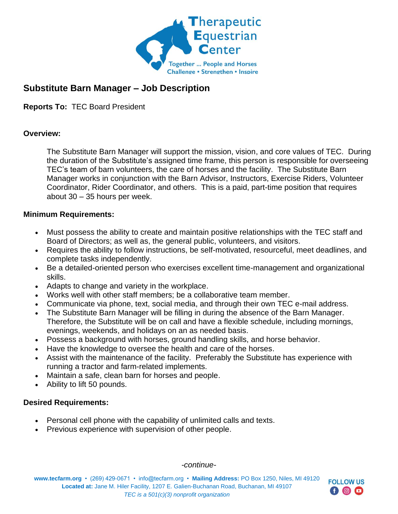

## **Substitute Barn Manager – Job Description**

**Reports To:** TEC Board President

#### **Overview:**

The Substitute Barn Manager will support the mission, vision, and core values of TEC. During the duration of the Substitute's assigned time frame, this person is responsible for overseeing TEC's team of barn volunteers, the care of horses and the facility. The Substitute Barn Manager works in conjunction with the Barn Advisor, Instructors, Exercise Riders, Volunteer Coordinator, Rider Coordinator, and others. This is a paid, part-time position that requires about 30 – 35 hours per week.

#### **Minimum Requirements:**

- Must possess the ability to create and maintain positive relationships with the TEC staff and Board of Directors; as well as, the general public, volunteers, and visitors.
- Requires the ability to follow instructions, be self-motivated, resourceful, meet deadlines, and complete tasks independently.
- Be a detailed-oriented person who exercises excellent time-management and organizational skills.
- Adapts to change and variety in the workplace.
- Works well with other staff members; be a collaborative team member.
- Communicate via phone, text, social media, and through their own TEC e-mail address.
- The Substitute Barn Manager will be filling in during the absence of the Barn Manager. Therefore, the Substitute will be on call and have a flexible schedule, including mornings, evenings, weekends, and holidays on an as needed basis.
- Possess a background with horses, ground handling skills, and horse behavior.
- Have the knowledge to oversee the health and care of the horses.
- Assist with the maintenance of the facility. Preferably the Substitute has experience with running a tractor and farm-related implements.
- Maintain a safe, clean barn for horses and people.
- Ability to lift 50 pounds.

#### **Desired Requirements:**

- Personal cell phone with the capability of unlimited calls and texts.
- Previous experience with supervision of other people.

*-continue-*